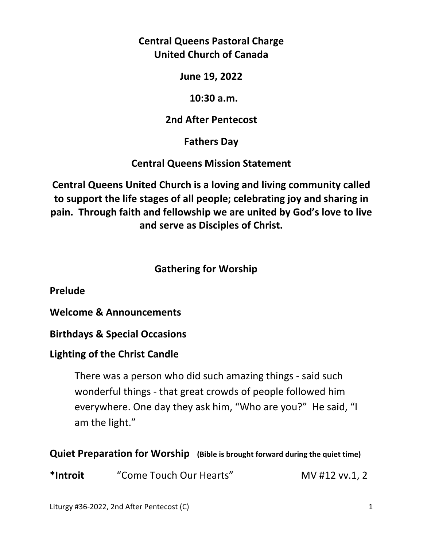**Central Queens Pastoral Charge United Church of Canada** 

**June 19, 2022** 

 **10:30 a.m.** 

# **2nd After Pentecost**

**Fathers Day** 

**Central Queens Mission Statement** 

**Central Queens United Church is a loving and living community called to support the life stages of all people; celebrating joy and sharing in pain. Through faith and fellowship we are united by God's love to live and serve as Disciples of Christ.**

# **Gathering for Worship**

**Prelude** 

**Welcome & Announcements** 

**Birthdays & Special Occasions** 

# **Lighting of the Christ Candle**

There was a person who did such amazing things - said such wonderful things - that great crowds of people followed him everywhere. One day they ask him, "Who are you?" He said, "I am the light."

# **Quiet Preparation for Worship (Bible is brought forward during the quiet time)**

**\*Introit** "Come Touch Our Hearts" MV #12 vv.1, 2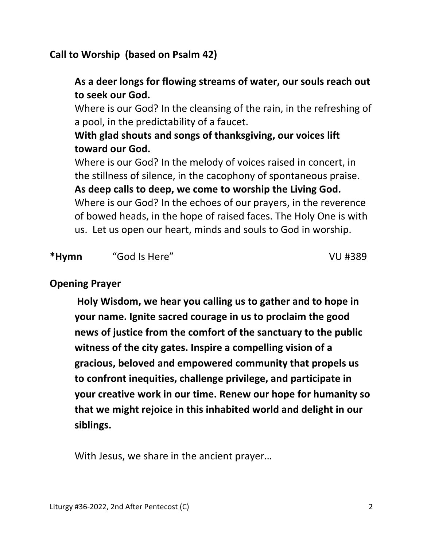# **Call to Worship (based on Psalm 42)**

# **As a deer longs for flowing streams of water, our souls reach out to seek our God.**

 Where is our God? In the cleansing of the rain, in the refreshing of a pool, in the predictability of a faucet.

# **With glad shouts and songs of thanksgiving, our voices lift toward our God.**

 Where is our God? In the melody of voices raised in concert, in the stillness of silence, in the cacophony of spontaneous praise.

 **As deep calls to deep, we come to worship the Living God.**  Where is our God? In the echoes of our prayers, in the reverence of bowed heads, in the hope of raised faces. The Holy One is with us. Let us open our heart, minds and souls to God in worship.

## **\*Hymn** "God Is Here" VU #389

### **Opening Prayer**

 **Holy Wisdom, we hear you calling us to gather and to hope in your name. Ignite sacred courage in us to proclaim the good news of justice from the comfort of the sanctuary to the public witness of the city gates. Inspire a compelling vision of a gracious, beloved and empowered community that propels us to confront inequities, challenge privilege, and participate in your creative work in our time. Renew our hope for humanity so that we might rejoice in this inhabited world and delight in our siblings.** 

With Jesus, we share in the ancient prayer…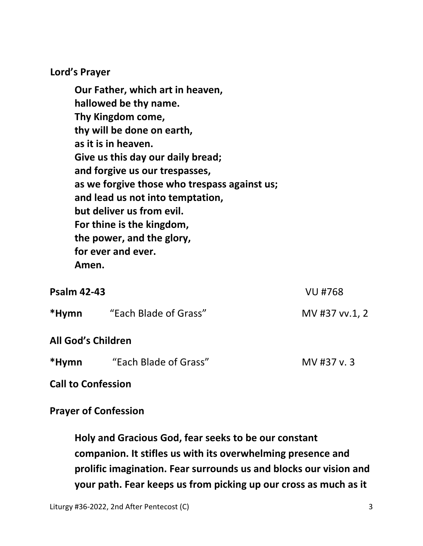**Lord's Prayer** 

**Our Father, which art in heaven, hallowed be thy name. Thy Kingdom come, thy will be done on earth, as it is in heaven. Give us this day our daily bread; and forgive us our trespasses, as we forgive those who trespass against us; and lead us not into temptation, but deliver us from evil. For thine is the kingdom, the power, and the glory, for ever and ever. Amen.** 

| <b>Psalm 42-43</b>        |                       | <b>VU #768</b> |
|---------------------------|-----------------------|----------------|
| *Hymn                     | "Each Blade of Grass" | MV #37 vv.1, 2 |
| <b>All God's Children</b> |                       |                |
| *Hymn                     | "Each Blade of Grass" | MV #37 v.3     |

**Call to Confession** 

**Prayer of Confession** 

 **Holy and Gracious God, fear seeks to be our constant companion. It stifles us with its overwhelming presence and prolific imagination. Fear surrounds us and blocks our vision and your path. Fear keeps us from picking up our cross as much as it**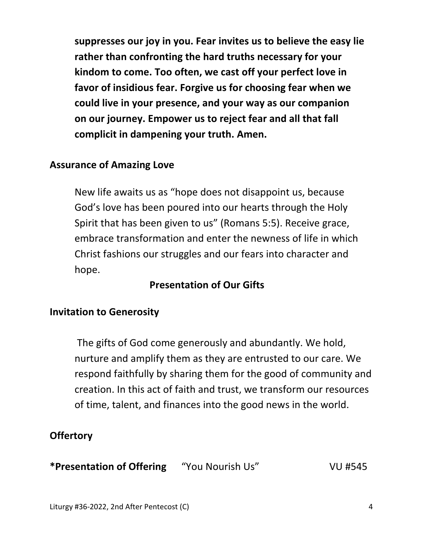**suppresses our joy in you. Fear invites us to believe the easy lie rather than confronting the hard truths necessary for your kindom to come. Too often, we cast off your perfect love in favor of insidious fear. Forgive us for choosing fear when we could live in your presence, and your way as our companion on our journey. Empower us to reject fear and all that fall complicit in dampening your truth. Amen.** 

### **Assurance of Amazing Love**

 New life awaits us as "hope does not disappoint us, because God's love has been poured into our hearts through the Holy Spirit that has been given to us" (Romans 5:5). Receive grace, embrace transformation and enter the newness of life in which Christ fashions our struggles and our fears into character and hope.

# **Presentation of Our Gifts**

#### **Invitation to Generosity**

 The gifts of God come generously and abundantly. We hold, nurture and amplify them as they are entrusted to our care. We respond faithfully by sharing them for the good of community and creation. In this act of faith and trust, we transform our resources of time, talent, and finances into the good news in the world.

### **Offertory**

**\*Presentation of Offering** "You Nourish Us" VU #545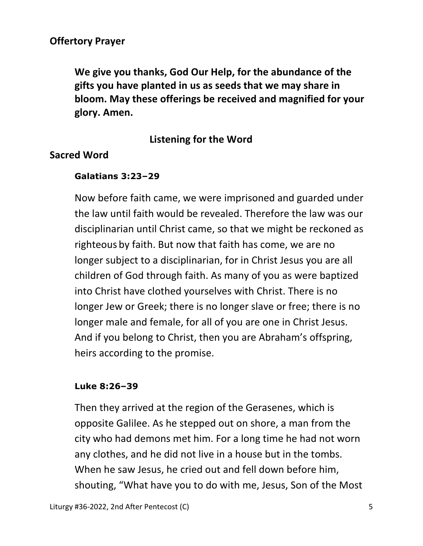## **Offertory Prayer**

 **We give you thanks, God Our Help, for the abundance of the gifts you have planted in us as seeds that we may share in bloom. May these offerings be received and magnified for your glory. Amen.** 

# **Listening for the Word**

#### **Sacred Word**

#### **Galatians 3:23–29**

Now before faith came, we were imprisoned and guarded under the law until faith would be revealed. Therefore the law was our disciplinarian until Christ came, so that we might be reckoned as righteous by faith. But now that faith has come, we are no longer subject to a disciplinarian, for in Christ Jesus you are all children of God through faith. As many of you as were baptized into Christ have clothed yourselves with Christ. There is no longer Jew or Greek; there is no longer slave or free; there is no longer male and female, for all of you are one in Christ Jesus. And if you belong to Christ, then you are Abraham's offspring, heirs according to the promise.

#### **Luke 8:26–39**

Then they arrived at the region of the Gerasenes, which is opposite Galilee. As he stepped out on shore, a man from the city who had demons met him. For a long time he had not worn any clothes, and he did not live in a house but in the tombs. When he saw Jesus, he cried out and fell down before him, shouting, "What have you to do with me, Jesus, Son of the Most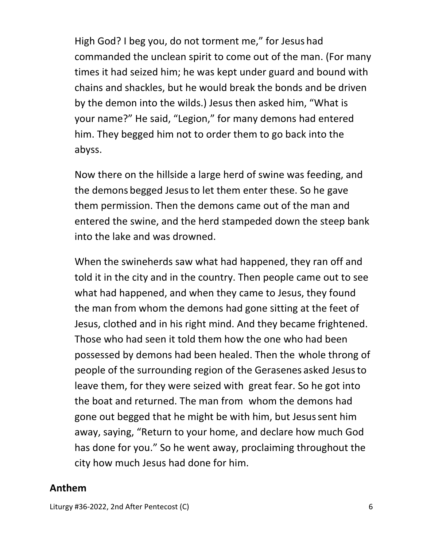High God? I beg you, do not torment me," for Jesus had commanded the unclean spirit to come out of the man. (For many times it had seized him; he was kept under guard and bound with chains and shackles, but he would break the bonds and be driven by the demon into the wilds.) Jesus then asked him, "What is your name?" He said, "Legion," for many demons had entered him. They begged him not to order them to go back into the abyss.

Now there on the hillside a large herd of swine was feeding, and the demons begged Jesusto let them enter these. So he gave them permission. Then the demons came out of the man and entered the swine, and the herd stampeded down the steep bank into the lake and was drowned.

When the swineherds saw what had happened, they ran off and told it in the city and in the country. Then people came out to see what had happened, and when they came to Jesus, they found the man from whom the demons had gone sitting at the feet of Jesus, clothed and in his right mind. And they became frightened. Those who had seen it told them how the one who had been possessed by demons had been healed. Then the whole throng of people of the surrounding region of the Gerasenes asked Jesusto leave them, for they were seized with great fear. So he got into the boat and returned. The man from whom the demons had gone out begged that he might be with him, but Jesussent him away, saying, "Return to your home, and declare how much God has done for you." So he went away, proclaiming throughout the city how much Jesus had done for him.

### **Anthem**

Liturgy #36-2022, 2nd After Pentecost (C) 6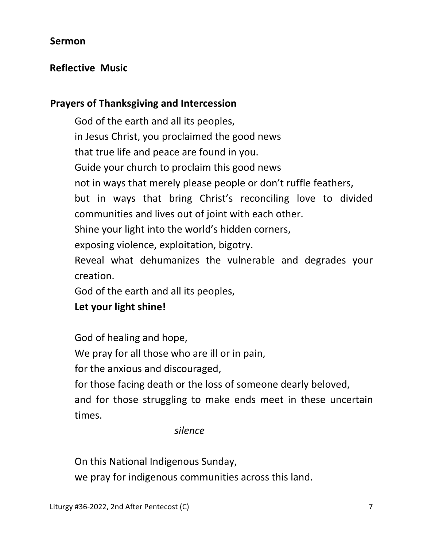## **Sermon**

# **Reflective Music**

## **Prayers of Thanksgiving and Intercession**

 God of the earth and all its peoples, in Jesus Christ, you proclaimed the good news that true life and peace are found in you. Guide your church to proclaim this good news not in ways that merely please people or don't ruffle feathers, but in ways that bring Christ's reconciling love to divided communities and lives out of joint with each other. Shine your light into the world's hidden corners, exposing violence, exploitation, bigotry. Reveal what dehumanizes the vulnerable and degrades your creation. God of the earth and all its peoples,  **Let your light shine!** 

God of healing and hope,

We pray for all those who are ill or in pain,

for the anxious and discouraged,

for those facing death or the loss of someone dearly beloved,

 and for those struggling to make ends meet in these uncertain times.

#### *silence*

On this National Indigenous Sunday,

we pray for indigenous communities across this land.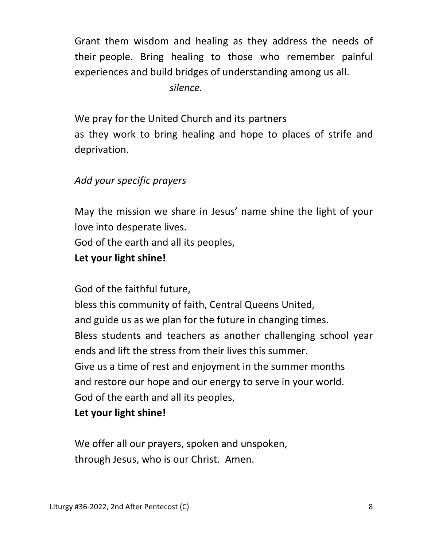Grant them wisdom and healing as they address the needs of their people. Bring healing to those who remember painful experiences and build bridges of understanding among us all.

 *silence.* 

 We pray for the United Church and its partners as they work to bring healing and hope to places of strife and deprivation.

# *Add your specific prayers*

 May the mission we share in Jesus' name shine the light of your love into desperate lives.

God of the earth and all its peoples,

# **Let your light shine!**

God of the faithful future,

 bless this community of faith, Central Queens United, and guide us as we plan for the future in changing times. Bless students and teachers as another challenging school year ends and lift the stress from their lives this summer. Give us a time of rest and enjoyment in the summer months and restore our hope and our energy to serve in your world. God of the earth and all its peoples,

### **Let your light shine!**

 We offer all our prayers, spoken and unspoken, through Jesus, who is our Christ. Amen.